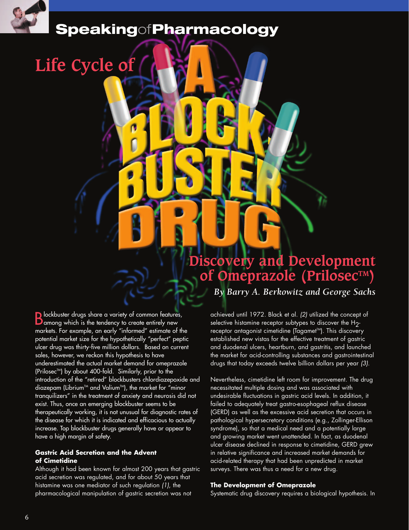

# **Speaking**of**Pharmacology**

# **Life Cycle of**

## **Discovery and Development of Omeprazole (Prilosec™)**

*By Barry A. Berkowitz and George Sachs*

**B** lockbuster drugs share a variety of common features,<br>**B** among which is the tendency to create entirely new markets. For example, an early "informed" estimate of the potential market size for the hypothetically "perfect" peptic ulcer drug was thirty-five million dollars. Based on current sales, however, we reckon this hypothesis to have underestimated the actual market demand for omeprazole (Prilosec<sup>™</sup>) by about 400-fold. Similarly, prior to the introduction of the "retired" blockbusters chlordiazepoxide and diazepam (Librium<sup>™</sup> and Valium<sup>™</sup>), the market for "minor tranquilizers" in the treatment of anxiety and neurosis did not exist. Thus, once an emerging blockbuster seems to be therapeutically working, it is not unusual for diagnostic rates of the disease for which it is indicated and efficacious to actually increase. Top blockbuster drugs generally have or appear to have a high margin of safety.

#### **Gastric Acid Secretion and the Advent of Cimetidine**

Although it had been known for almost 200 years that gastric acid secretion was regulated, and for about 50 years that histamine was one mediator of such regulation *(1)*, the pharmacological manipulation of gastric secretion was not

achieved until 1972. Black et al. *(2)* utilized the concept of selective histamine receptor subtypes to discover the H<sub>2</sub>receptor antagonist cimetidine (Tagamet™). This discovery established new vistas for the effective treatment of gastric and duodenal ulcers, heartburn, and gastritis, and launched the market for acid-controlling substances and gastrointestinal drugs that today exceeds twelve billion dollars per year *(3)*.

Nevertheless, cimetidine left room for improvement. The drug necessitated multiple dosing and was associated with undesirable fluctuations in gastric acid levels. In addition, it failed to adequately treat gastro-esophageal reflux disease (GERD) as well as the excessive acid secretion that occurs in pathological hypersecretory conditions (e.g., Zollinger-Ellison syndrome), so that a medical need and a potentially large and growing market went unattended. In fact, as duodenal ulcer disease declined in response to cimetidine, GERD grew in relative significance and increased market demands for acid-related therapy that had been unpredicted in market surveys. There was thus a need for a new drug.

#### **The Development of Omeprazole**

Systematic drug discovery requires a biological hypothesis. In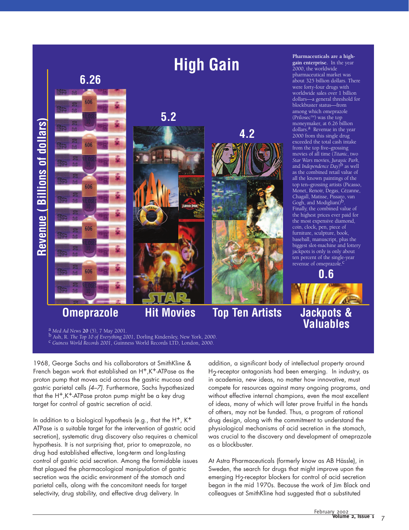

<sup>a</sup> Med Ad News 20 (5), 7 May 2001.<br><sup>b</sup> Ash, R. The Top 10 of Everything 2001, Dorling Kindersley, New York, 2000.<br><sup>C</sup> Guiness World Records 2001, Guinness World Records LTD, London, 2000.

1968, George Sachs and his collaborators at SmithKline & French began work that established an H<sup>+</sup>,K<sup>+</sup>-ATPase as the proton pump that moves acid across the gastric mucosa and gastric parietal cells *(4–7)*. Furthermore, Sachs hypothesized that the H+,K+-ATPase proton pump might be a key drug target for control of gastric secretion of acid.

In addition to a biological hypothesis (e.g., that the  $H^+$ ,  $K^+$ ATPase is a suitable target for the intervention of gastric acid secretion), systematic drug discovery also requires a chemical hypothesis. It is not surprising that, prior to omeprazole, no drug had established effective, long-term and long-lasting control of gastric acid secretion. Among the formidable issues that plagued the pharmacological manipulation of gastric secretion was the acidic environment of the stomach and parietal cells, along with the concomitant needs for target selectivity, drug stability, and effective drug delivery. In

addition, a significant body of intellectual property around H<sub>2</sub>-receptor antagonists had been emerging. In industry, as in academia, new ideas, no matter how innovative, must compete for resources against many ongoing programs, and without effective internal champions, even the most excellent of ideas, many of which will later prove fruitful in the hands of others, may not be funded. Thus, a program of rational drug design, along with the commitment to understand the physiological mechanisms of acid secretion in the stomach, was crucial to the discovery and development of omeprazole as a blockbuster.

At Astra Pharmaceuticals (formerly know as AB Hässle), in Sweden, the search for drugs that might improve upon the emerging H<sub>2</sub>-receptor blockers for control of acid secretion began in the mid 1970s. Because the work of Jim Black and colleagues at SmithKline had suggested that a substituted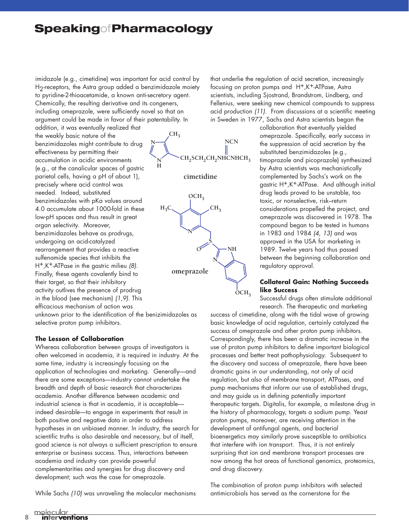## **Speaking**of**Pharmacology**

imidazole (e.g., cimetidine) was important for acid control by H2-receptors, the Astra group added a benzimidazole moiety to pyridine-2-thioacetamide, a known anti-secretory agent. Chemically, the resulting derivative and its congeners, including omeprazole, were sufficiently novel so that an argument could be made in favor of their patentability. In

addition, it was eventually realized that the weakly basic nature of the benzimidazoles might contribute to drug effectiveness by permitting their accumulation in acidic environments (e.g., at the canalicular spaces of gastric parietal cells, having a pH of about 1), precisely where acid control was needed. Indeed, substituted benzimidazoles with pKa values around 4.0 accumulate about 1000-fold in these low-pH spaces and thus result in great organ selectivity. Moreover, benzimidazoles behave as prodrugs, undergoing an acid-catalyzed rearrangement that provides a reactive sulfenamide species that inhibits the H+,K+-ATPase in the gastric milieu *(8)*. Finally, these agents covalently bind to their target, so that their inhibitory activity outlives the presence of prodrug in the blood (see mechanism) *(1,9)*. This efficacious mechanism of action was

unknown prior to the identification of the benizimidazoles as selective proton pump inhibitors.

#### **The Lesson of Collaboration**

Whereas collaboration between groups of investigators is often welcomed in academia, it is required in industry. At the same time, industry is increasingly focusing on the application of technologies and marketing. Generally—and there are some exceptions—industry cannot undertake the breadth and depth of basic research that characterizes academia. Another difference between academic and industrial science is that in academia, it is acceptable indeed desirable—to engage in experiments that result in both positive and negative data in order to address hypotheses in an unbiased manner. In industry, the search for scientific truths is also desirable and necessary, but of itself, good science is not always a sufficient prescription to ensure enterprise or business success. Thus, interactions between academia and industry can provide powerful complementarities and synergies for drug discovery and development; such was the case for omeprazole.

While Sachs *(10)* was unraveling the molecular mechanisms

**CH3** CH<sub>2</sub>SCH<sub>2</sub>CH<sub>2</sub>NHCNHCH<sub>3</sub> **N NCN**

**cimetidine**

**N H**



that underlie the regulation of acid secretion, increasingly focusing on proton pumps and H+,K+-ATPase, Astra scientists, including Sjostrand, Brandstrom, Lindberg, and Fellenius, were seeking new chemical compounds to suppress acid production *(11)*. From discussions at a scientific meeting in Sweden in 1977, Sachs and Astra scientists began the

> collaboration that eventually yielded omeprazole. Specifically, early success in the suppression of acid secretion by the substituted benzimidazoles (e.g., timoprazole and picoprazole) synthesized by Astra scientists was mechanistically complemented by Sachs's work on the gastric H+,K+-ATPase. And although initial drug leads proved to be unstable, too toxic, or nonselective, risk–return considerations propelled the project, and omeprazole was discovered in 1978. The compound began to be tested in humans in 1983 and 1984 *(4, 13)* and was approved in the USA for marketing in 1989. Twelve years had thus passed between the beginning collaboration and regulatory approval.

#### **Collateral Gain: Nothing Succeeds like Success**

Successful drugs often stimulate additional research. The therapeutic and marketing

success of cimetidine, along with the tidal wave of growing basic knowledge of acid regulation, certainly catalyzed the success of omeprazole and other proton pump inhibitors. Correspondingly, there has been a dramatic increase in the use of proton pump inhibitors to define important biological processes and better treat pathophysiology. Subsequent to the discovery and success of omeprazole, there have been dramatic gains in our understanding, not only of acid regulation, but also of membrane transport, ATPases, and pump mechanisms that inform our use of established drugs, and may guide us in defining potentially important therapeutic targets. Digitalis, for example, a milestone drug in the history of pharmacology, targets a sodium pump. Yeast proton pumps, moreover, are receiving attention in the development of antifungal agents, and bacterial bioenergetics may similarly prove susceptible to antibiotics that interfere with ion transport. Thus, it is not entirely surprising that ion and membrane transport processes are now among the hot areas of functional genomics, proteomics, and drug discovery.

The combination of proton pump inhibitors with selected antimicrobials has served as the cornerstone for the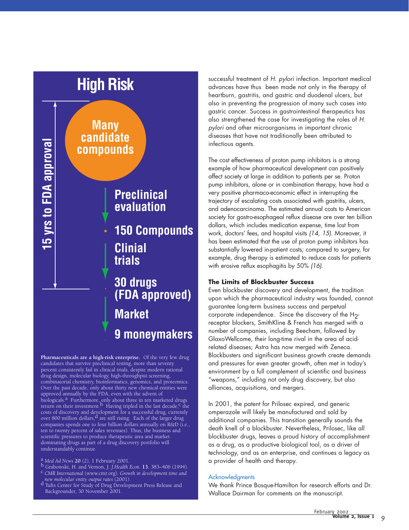

**Pharmaceuticals are a high-risk enterprise.** Of the very few drug candidates that survive preclinical testing, more than seventy percent consistently fail in clinical trials, despite modern rational drug design, molecular biology, high-throughput screening, combinatorial chemistry, bioinformatics, genomics, and proteomics. Over the past decade, only about thirty new chemical entities were approved annually by the FDA, even with the advent of hiologicals.<sup>a</sup> Furthermore, only about three in ten marketed drugs return on their investment.  $\overline{b}$  Having tripled in the last decade,  $\overline{c}$  the costs of discovery and development for a successful drug, currently over 800 million dollars,  $d$  are still rising. Each of the larger drug companies spends one to four billion dollars annually on R&D (i.e., ten to twenty percent of sales revenues). Thus, the business and scientific pressures to produce therapeutic area and market dominating drugs as part of a drug discovery portfolio will understandably continue.

- a *Med Ad News* **20** (2), 1 February 2001.<br>b Grabowski, H. and Vernon, J. *J.Health Econ*. **13**, 383–406 (1994).<br><sup>C</sup> *CMR International* (www.cmr.org). *Growth in development time and*<br>, new molecular entity output rates (
- d Tufts Center for Study of Drug Development Press Release and Backgrounder, 30 November 2001.

successful treatment of *H. pylori* infection. Important medical advances have thus been made not only in the therapy of heartburn, gastritis, and gastric and duodenal ulcers, but also in preventing the progression of many such cases into gastric cancer. Success in gastrointestinal therapeutics has also strengthened the case for investigating the roles of *H. pylori* and other microorganisms in important chronic diseases that have not traditionally been attributed to infectious agents.

The cost effectiveness of proton pump inhibitors is a strong example of how pharmaceutical development can positively affect society at large in addition to patients per se. Proton pump inhibitors, alone or in combination therapy, have had a very positive pharmaco-economic effect in interrupting the trajectory of escalating costs associated with gastritis, ulcers, and adenocarcinoma. The estimated annual costs to American society for gastro-esophageal reflux disease are over ten billion dollars, which includes medication expense, time lost from work, doctors' fees, and hospital visits *(14, 15)*. Moreover, it has been estimated that the use of proton pump inhibitors has substantially lowered in-patient costs; compared to surgery, for example, drug therapy is estimated to reduce costs for patients with erosive reflux esophagitis by 50% *(16)*.

#### **The Limits of Blockbuster Success**

Even blockbuster discovery and development, the tradition upon which the pharmaceutical industry was founded, cannot guarantee long-term business success and perpetual corporate independence. Since the discovery of the H<sub>2</sub>receptor blockers, SmithKline & French has merged with a number of companies, including Beecham, followed by GlaxoWellcome, their long-time rival in the area of acidrelated diseases; Astra has now merged with Zeneca. Blockbusters and significant business growth create demands and pressures for even greater growth, often met in today's environment by a full complement of scientific and business "weapons," including not only drug discovery, but also alliances, acquisitions, and mergers.

In 2001, the patent for Prilosec expired, and generic omperazole will likely be manufactured and sold by additional companies. This transition generally sounds the death knell of a blockbuster. Nevertheless, Prilosec, like all blockbuster drugs, leaves a proud history of accomplishment as a drug, as a productive biological tool, as a driver of technology, and as an enterprise, and continues a legacy as a provider of health and therapy.

#### **Acknowledaments**

We thank Prince Bosque-Hamilton for research efforts and Dr. Wallace Dairman for comments on the manuscript.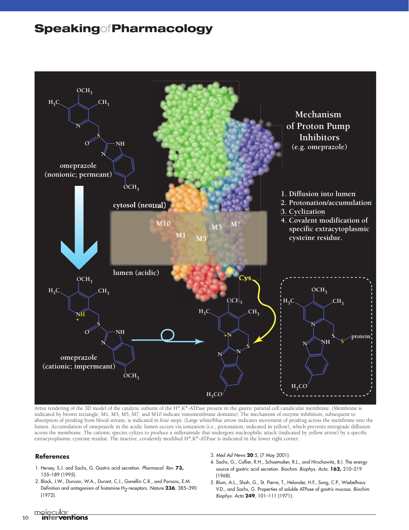### **Speaking**of**Pharmacology**



Artist rendering of the 3D model of the catalytic subunit of the H<sup>+</sup>,K<sup>+</sup>-ATPase present in the gastric parietal cell canalicular membrane. (Membrane is indicated by brown rectangle; M1, M3, M5, M7, and M10 indicate transmembrane domains). The mechanism of enzyme inhibition, subsequent to absorption of prodrug from blood stream, is indicated in four steps. (Large white/blue arrow indicates movement of prodrug across the membrane into the lumen. Accumulation of omeprazole in the acidic lumen occurs via ionization (i.e., protonation; indicated in yellow), which prevents retrograde diffusion across the membrane. The cationic species cylizes to produce a sulfenamide that undergoes nucleophilic attack (indicated by yellow arrow) by a specific extracytoplasmic cysteine residue. The inactive, covalently modified H+,K+-ATPase is indicated in the lower right corner.

#### **References**

- 1. Hersey, S.J. and Sachs, G. Gastric acid secretion. *Pharmacol. Rev.* **73,** 155–189 (1995).
- 2. Black, J.W., Duncan, W.A., Durant, C.J., Ganellin C.R., and Parsons, E.M. Definition and antagonism of histamine H<sub>2</sub>-receptors. *Nature* 236, 385-390 (1972).
- 3*. Med Ad News* **20**:5, (7 May 2001).
- 4. Sachs, G., Collier, R.H., Schoemaker, R.L., and Hirschowitz, B.I. The energy source of gastric acid secretion. *Biochim. Biophys. Acta*. **162,** 210–219 (1968).
- 5. Blum, A.L., Shah, G., St. Pierre, T., Helander, H.F., Sung, C.P., Wiebelhaus V.D., and Sachs, G. Properties of soluble ATPase of gastric mucosa. *Biochim. Biophys. Acta* **249**, 101–111 (1971).